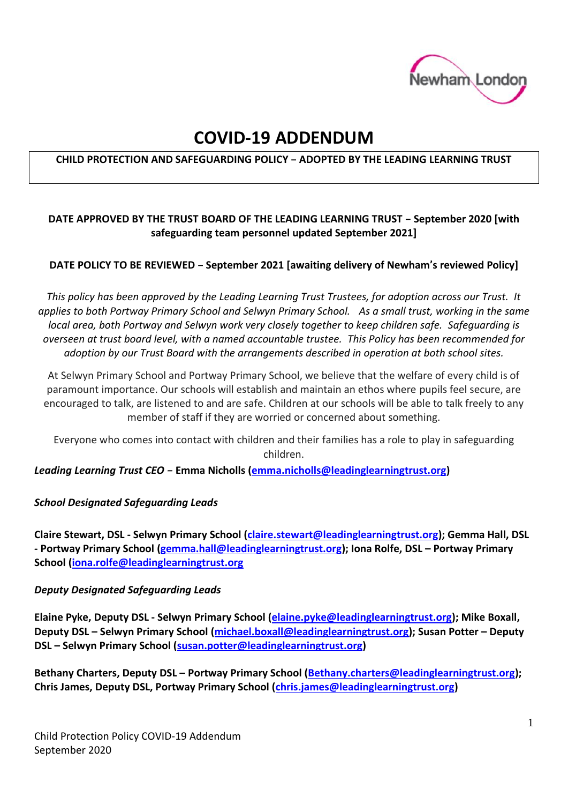

# **COVID-19 ADDENDUM**

## **CHILD PROTECTION AND SAFEGUARDING POLICY – ADOPTED BY THE LEADING LEARNING TRUST**

## **DATE APPROVED BY THE TRUST BOARD OF THE LEADING LEARNING TRUST – September 2020 [with safeguarding team personnel updated September 2021]**

#### **DATE POLICY TO BE REVIEWED – September 2021 [awaiting delivery of Newham's reviewed Policy]**

*This policy has been approved by the Leading Learning Trust Trustees, for adoption across our Trust. It applies to both Portway Primary School and Selwyn Primary School. As a small trust, working in the same local area, both Portway and Selwyn work very closely together to keep children safe. Safeguarding is overseen at trust board level, with a named accountable trustee. This Policy has been recommended for adoption by our Trust Board with the arrangements described in operation at both school sites.*

At Selwyn Primary School and Portway Primary School, we believe that the welfare of every child is of paramount importance. Our schools will establish and maintain an ethos where pupils feel secure, are encouraged to talk, are listened to and are safe. Children at our schools will be able to talk freely to any member of staff if they are worried or concerned about something.

Everyone who comes into contact with children and their families has a role to play in safeguarding children.

*Leading Learning Trust CEO –* **Emma Nicholls [\(emma.nicholls@leadinglearningtrust.org\)](mailto:emma.nicholls@leadinglearningtrust.org)**

#### *School Designated Safeguarding Leads*

**Claire Stewart, DSL - Selwyn Primary School [\(claire.stewart@leadinglearningtrust.org\)](mailto:claire.stewart@leadinglearningtrust.org); Gemma Hall, DSL - Portway Primary School [\(gemma.hall@leadinglearningtrust.org\)](mailto:gemma.hall@leadinglearningtrust.org); Iona Rolfe, DSL – Portway Primary School [\(iona.rolfe@leadinglearningtrust.org](mailto:iona.rolfe@leadinglearningtrust.org)**

#### *Deputy Designated Safeguarding Leads*

**Elaine Pyke, Deputy DSL - Selwyn Primary School [\(elaine.pyke@leadinglearningtrust.org\)](mailto:elaine.pyke@leadinglearningtrust.org); Mike Boxall, Deputy DSL – Selwyn Primary School [\(michael.boxall@leadinglearningtrust.org\)](mailto:michael.boxall@leadinglearningtrust.org); Susan Potter – Deputy DSL – Selwyn Primary School [\(susan.potter@leadinglearningtrust.org\)](mailto:susan.potter@leadinglearningtrust.org)**

**Bethany Charters, Deputy DSL – Portway Primary School [\(Bethany.charters@leadinglearningtrust.org\)](mailto:Bethany.charters@leadinglearningtrust.org); Chris James, Deputy DSL, Portway Primary School [\(chris.james@leadinglearningtrust.org\)](mailto:chris.james@leadinglearningtrust.org)**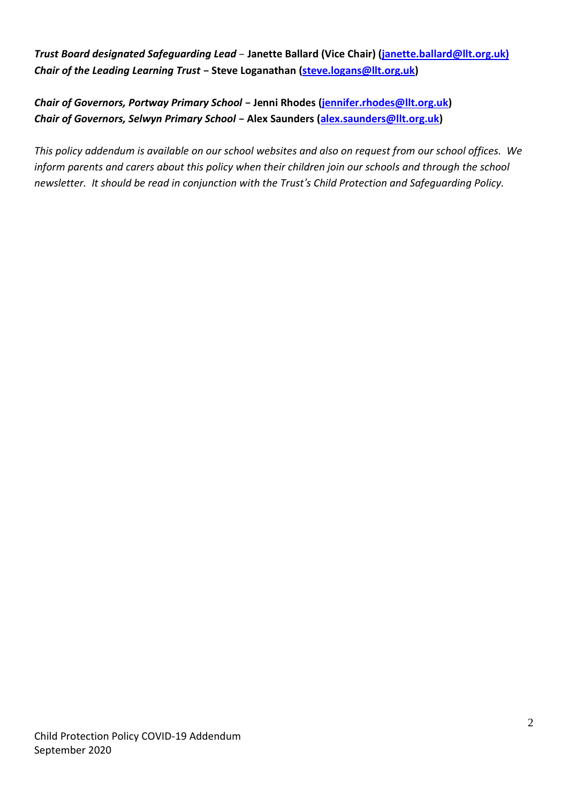*Trust Board designated Safeguarding Lead* – **Janette Ballard (Vice Chair) (janette.ballard@llt.org.uk)** *Chair of the Leading Learning Trust* **– Steve Loganathan [\(steve.logans@llt.org.uk\)](mailto:steve.logans@llt.org.uk)**

*Chair of Governors, Portway Primary School* **– Jenni Rhodes [\(jennifer.rhodes@llt.org.uk\)](mailto:jennifer.rhodes@llt.org.uk)** *Chair of Governors, Selwyn Primary School* **– Alex Saunders [\(alex.saunders@llt.org.uk\)](mailto:alex.saunders@llt.org.uk)**

*This policy addendum is available on our school websites and also on request from our school offices. We inform parents and carers about this policy when their children join our schools and through the school newsletter. It should be read in conjunction with the Trust's Child Protection and Safeguarding Policy.*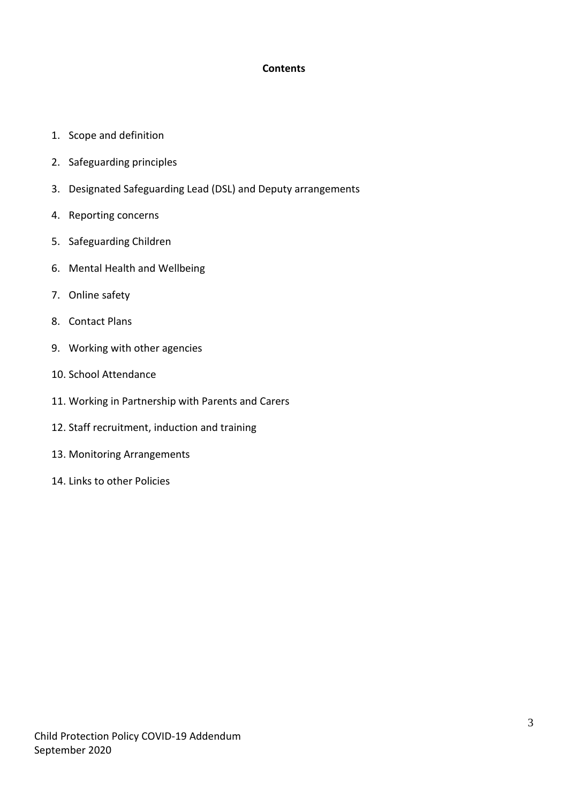## **Contents**

- 1. Scope and definition
- 2. Safeguarding principles
- 3. Designated Safeguarding Lead (DSL) and Deputy arrangements
- 4. Reporting concerns
- 5. Safeguarding Children
- 6. Mental Health and Wellbeing
- 7. Online safety
- 8. Contact Plans
- 9. Working with other agencies
- 10. School Attendance
- 11. Working in Partnership with Parents and Carers
- 12. Staff recruitment, induction and training
- 13. Monitoring Arrangements
- 14. Links to other Policies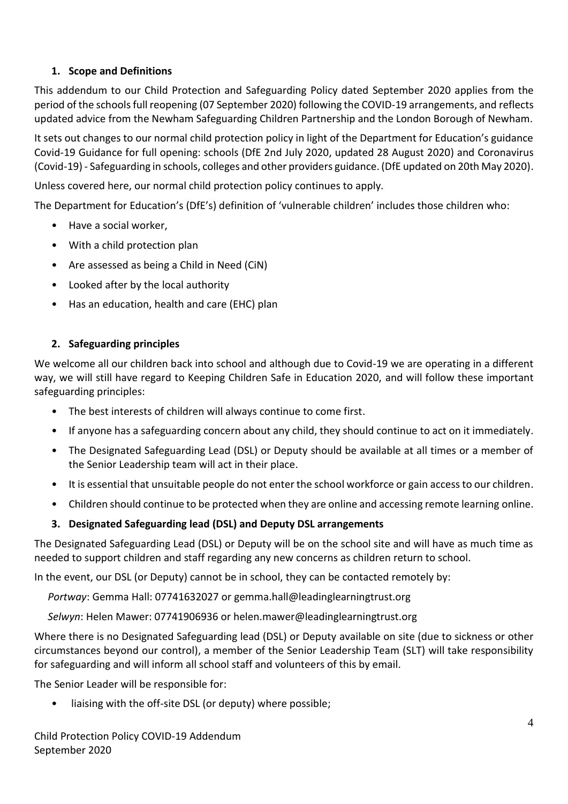# **1. Scope and Definitions**

This addendum to our Child Protection and Safeguarding Policy dated September 2020 applies from the period of the schoolsfull reopening (07 September 2020) following the COVID-19 arrangements, and reflects updated advice from the Newham Safeguarding Children Partnership and the London Borough of Newham.

It sets out changes to our normal child protection policy in light of the Department for Education's guidance Covid-19 Guidance for full opening: schools (DfE 2nd July 2020, updated 28 August 2020) and Coronavirus (Covid-19) - Safeguarding in schools, colleges and other providers guidance. (DfE updated on 20th May 2020).

Unless covered here, our normal child protection policy continues to apply.

The Department for Education's (DfE's) definition of 'vulnerable children' includes those children who:

- Have a social worker,
- With a child protection plan
- Are assessed as being a Child in Need (CiN)
- Looked after by the local authority
- Has an education, health and care (EHC) plan

# **2. Safeguarding principles**

We welcome all our children back into school and although due to Covid-19 we are operating in a different way, we will still have regard to Keeping Children Safe in Education 2020, and will follow these important safeguarding principles:

- The best interests of children will always continue to come first.
- If anyone has a safeguarding concern about any child, they should continue to act on it immediately.
- The Designated Safeguarding Lead (DSL) or Deputy should be available at all times or a member of the Senior Leadership team will act in their place.
- It is essential that unsuitable people do not enter the school workforce or gain access to our children.
- Children should continue to be protected when they are online and accessing remote learning online.

## **3. Designated Safeguarding lead (DSL) and Deputy DSL arrangements**

The Designated Safeguarding Lead (DSL) or Deputy will be on the school site and will have as much time as needed to support children and staff regarding any new concerns as children return to school.

In the event, our DSL (or Deputy) cannot be in school, they can be contacted remotely by:

*Portway*: Gemma Hall: 07741632027 or gemma.hall@leadinglearningtrust.org

*Selwyn*: Helen Mawer: 07741906936 or helen.mawer@leadinglearningtrust.org

Where there is no Designated Safeguarding lead (DSL) or Deputy available on site (due to sickness or other circumstances beyond our control), a member of the Senior Leadership Team (SLT) will take responsibility for safeguarding and will inform all school staff and volunteers of this by email.

The Senior Leader will be responsible for:

liaising with the off-site DSL (or deputy) where possible;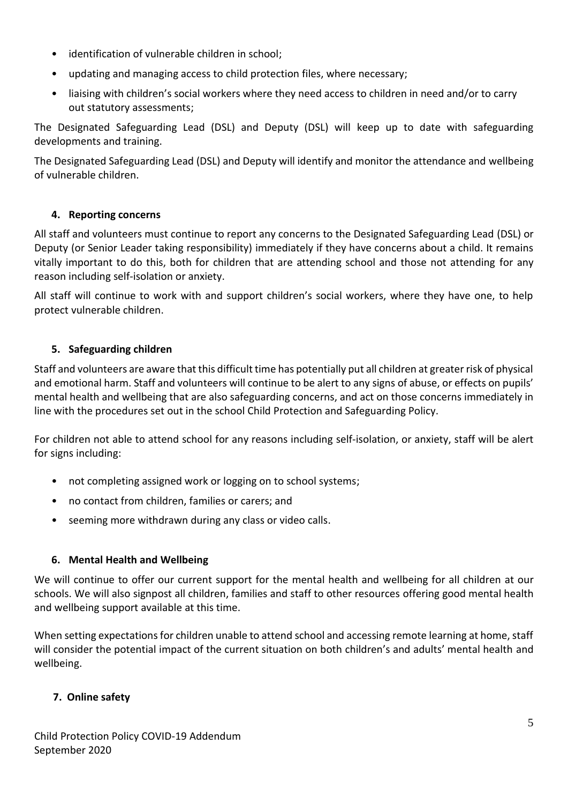- identification of vulnerable children in school;
- updating and managing access to child protection files, where necessary;
- liaising with children's social workers where they need access to children in need and/or to carry out statutory assessments;

The Designated Safeguarding Lead (DSL) and Deputy (DSL) will keep up to date with safeguarding developments and training.

The Designated Safeguarding Lead (DSL) and Deputy will identify and monitor the attendance and wellbeing of vulnerable children.

# **4. Reporting concerns**

All staff and volunteers must continue to report any concerns to the Designated Safeguarding Lead (DSL) or Deputy (or Senior Leader taking responsibility) immediately if they have concerns about a child. It remains vitally important to do this, both for children that are attending school and those not attending for any reason including self-isolation or anxiety.

All staff will continue to work with and support children's social workers, where they have one, to help protect vulnerable children.

# **5. Safeguarding children**

Staff and volunteers are aware that this difficult time has potentially put all children at greater risk of physical and emotional harm. Staff and volunteers will continue to be alert to any signs of abuse, or effects on pupils' mental health and wellbeing that are also safeguarding concerns, and act on those concerns immediately in line with the procedures set out in the school Child Protection and Safeguarding Policy.

For children not able to attend school for any reasons including self-isolation, or anxiety, staff will be alert for signs including:

- not completing assigned work or logging on to school systems;
- no contact from children, families or carers; and
- seeming more withdrawn during any class or video calls.

# **6. Mental Health and Wellbeing**

We will continue to offer our current support for the mental health and wellbeing for all children at our schools. We will also signpost all children, families and staff to other resources offering good mental health and wellbeing support available at this time.

When setting expectations for children unable to attend school and accessing remote learning at home, staff will consider the potential impact of the current situation on both children's and adults' mental health and wellbeing.

# **7. Online safety**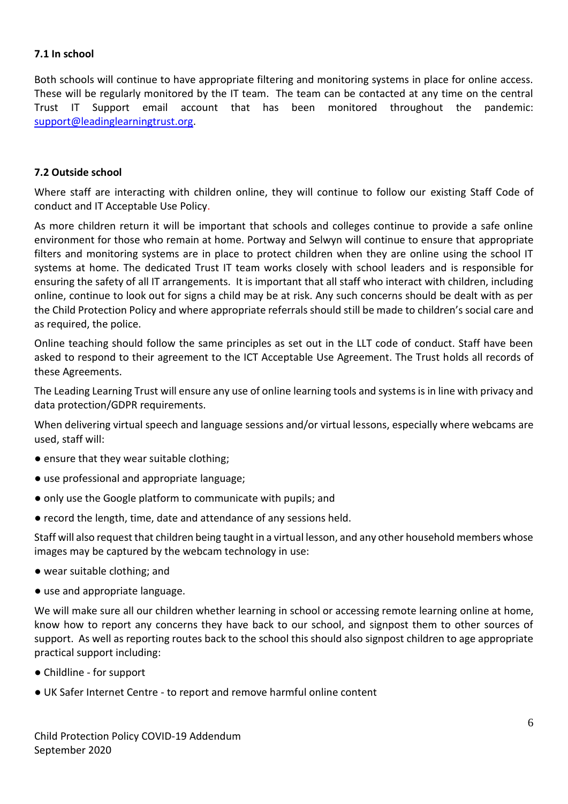#### **7.1 In school**

Both schools will continue to have appropriate filtering and monitoring systems in place for online access. These will be regularly monitored by the IT team. The team can be contacted at any time on the central Trust IT Support email account that has been monitored throughout the pandemic: [support@leadinglearningtrust.org.](mailto:support@leadinglearningtrust.org)

#### **7.2 Outside school**

Where staff are interacting with children online, they will continue to follow our existing Staff Code of conduct and IT Acceptable Use Policy.

As more children return it will be important that schools and colleges continue to provide a safe online environment for those who remain at home. Portway and Selwyn will continue to ensure that appropriate filters and monitoring systems are in place to protect children when they are online using the school IT systems at home. The dedicated Trust IT team works closely with school leaders and is responsible for ensuring the safety of all IT arrangements. It is important that all staff who interact with children, including online, continue to look out for signs a child may be at risk. Any such concerns should be dealt with as per the Child Protection Policy and where appropriate referrals should still be made to children's social care and as required, the police.

Online teaching should follow the same principles as set out in the LLT code of conduct. Staff have been asked to respond to their agreement to the ICT Acceptable Use Agreement. The Trust holds all records of these Agreements.

The Leading Learning Trust will ensure any use of online learning tools and systems is in line with privacy and data protection/GDPR requirements.

When delivering virtual speech and language sessions and/or virtual lessons, especially where webcams are used, staff will:

- ensure that they wear suitable clothing;
- use professional and appropriate language;
- only use the Google platform to communicate with pupils; and
- record the length, time, date and attendance of any sessions held.

Staff will also request that children being taught in a virtual lesson, and any other household members whose images may be captured by the webcam technology in use:

- wear suitable clothing; and
- use and appropriate language.

We will make sure all our children whether learning in school or accessing remote learning online at home, know how to report any concerns they have back to our school, and signpost them to other sources of support. As well as reporting routes back to the school this should also signpost children to age appropriate practical support including:

- Childline for support
- UK Safer Internet Centre to report and remove harmful online content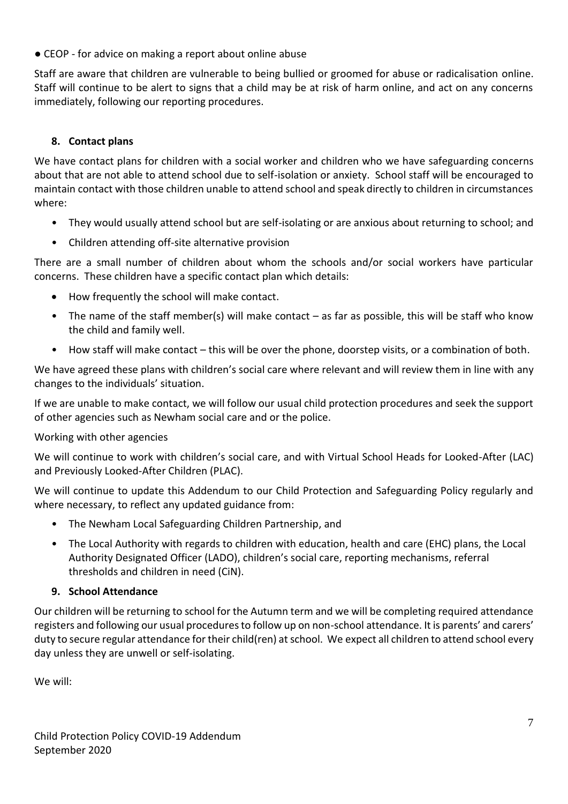● CEOP - for advice on making a report about online abuse

Staff are aware that children are vulnerable to being bullied or groomed for abuse or radicalisation online. Staff will continue to be alert to signs that a child may be at risk of harm online, and act on any concerns immediately, following our reporting procedures.

# **8. Contact plans**

We have contact plans for children with a social worker and children who we have safeguarding concerns about that are not able to attend school due to self-isolation or anxiety. School staff will be encouraged to maintain contact with those children unable to attend school and speak directly to children in circumstances where:

- They would usually attend school but are self-isolating or are anxious about returning to school; and
- Children attending off-site alternative provision

There are a small number of children about whom the schools and/or social workers have particular concerns. These children have a specific contact plan which details:

- How frequently the school will make contact.
- The name of the staff member(s) will make contact as far as possible, this will be staff who know the child and family well.
- How staff will make contact this will be over the phone, doorstep visits, or a combination of both.

We have agreed these plans with children's social care where relevant and will review them in line with any changes to the individuals' situation.

If we are unable to make contact, we will follow our usual child protection procedures and seek the support of other agencies such as Newham social care and or the police.

# Working with other agencies

We will continue to work with children's social care, and with Virtual School Heads for Looked-After (LAC) and Previously Looked-After Children (PLAC).

We will continue to update this Addendum to our Child Protection and Safeguarding Policy regularly and where necessary, to reflect any updated guidance from:

- The Newham Local Safeguarding Children Partnership, and
- The Local Authority with regards to children with education, health and care (EHC) plans, the Local Authority Designated Officer (LADO), children's social care, reporting mechanisms, referral thresholds and children in need (CiN).

# **9. School Attendance**

Our children will be returning to school for the Autumn term and we will be completing required attendance registers and following our usual procedures to follow up on non-school attendance. It is parents' and carers' duty to secure regular attendance for their child(ren) at school. We expect all children to attend school every day unless they are unwell or self-isolating.

We will: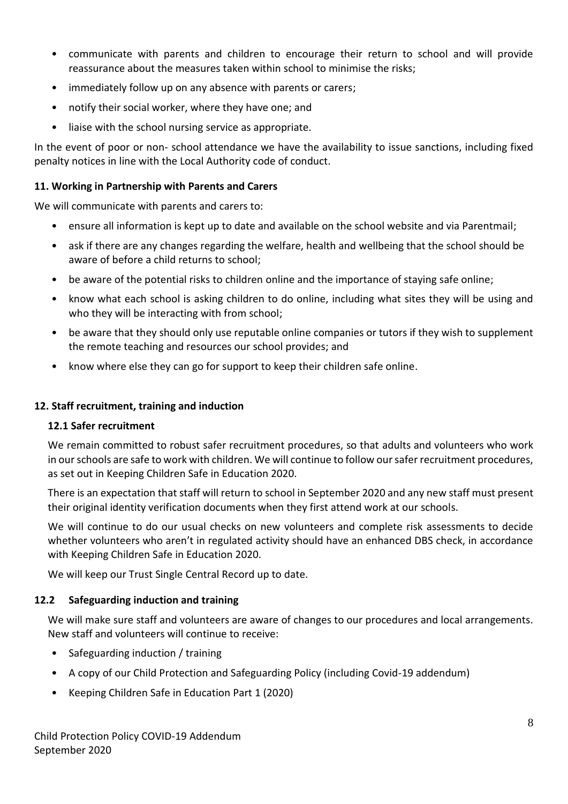- communicate with parents and children to encourage their return to school and will provide reassurance about the measures taken within school to minimise the risks;
- immediately follow up on any absence with parents or carers;
- notify their social worker, where they have one; and
- liaise with the school nursing service as appropriate.

In the event of poor or non- school attendance we have the availability to issue sanctions, including fixed penalty notices in line with the Local Authority code of conduct.

## **11. Working in Partnership with Parents and Carers**

We will communicate with parents and carers to:

- ensure all information is kept up to date and available on the school website and via Parentmail;
- ask if there are any changes regarding the welfare, health and wellbeing that the school should be aware of before a child returns to school;
- be aware of the potential risks to children online and the importance of staying safe online;
- know what each school is asking children to do online, including what sites they will be using and who they will be interacting with from school:
- be aware that they should only use reputable online companies or tutors if they wish to supplement the remote teaching and resources our school provides; and
- know where else they can go for support to keep their children safe online.

## **12. Staff recruitment, training and induction**

#### **12.1 Safer recruitment**

We remain committed to robust safer recruitment procedures, so that adults and volunteers who work in our schools are safe to work with children. We will continue to follow our safer recruitment procedures, as set out in Keeping Children Safe in Education 2020.

There is an expectation that staff will return to school in September 2020 and any new staff must present their original identity verification documents when they first attend work at our schools.

We will continue to do our usual checks on new volunteers and complete risk assessments to decide whether volunteers who aren't in regulated activity should have an enhanced DBS check, in accordance with Keeping Children Safe in Education 2020.

We will keep our Trust Single Central Record up to date.

## **12.2 Safeguarding induction and training**

We will make sure staff and volunteers are aware of changes to our procedures and local arrangements. New staff and volunteers will continue to receive:

- Safeguarding induction / training
- A copy of our Child Protection and Safeguarding Policy (including Covid-19 addendum)
- Keeping Children Safe in Education Part 1 (2020)